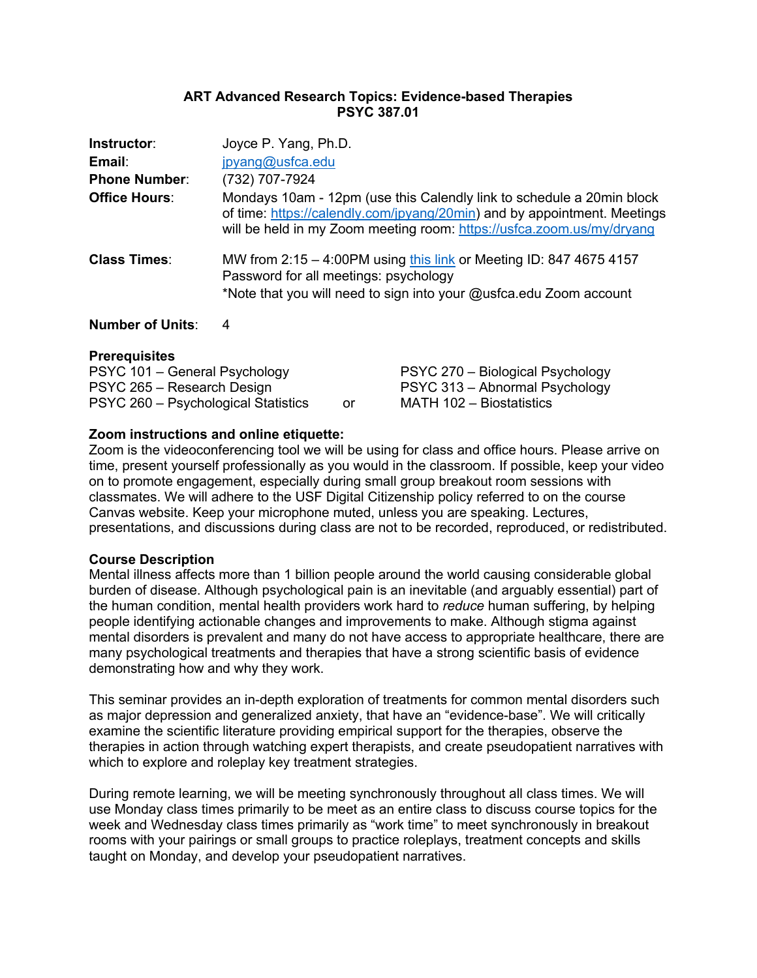#### **ART Advanced Research Topics: Evidence-based Therapies PSYC 387.01**

| Instructor:<br>Email:<br><b>Phone Number:</b> | Joyce P. Yang, Ph.D.<br>jpyang@usfca.edu<br>(732) 707-7924                                                                                                                                                                 |
|-----------------------------------------------|----------------------------------------------------------------------------------------------------------------------------------------------------------------------------------------------------------------------------|
| <b>Office Hours:</b>                          | Mondays 10am - 12pm (use this Calendly link to schedule a 20min block<br>of time: https://calendly.com/jpyang/20min) and by appointment. Meetings<br>will be held in my Zoom meeting room: https://usfca.zoom.us/my/dryang |
| <b>Class Times:</b>                           | MW from 2:15 - 4:00PM using this link or Meeting ID: 847 4675 4157<br>Password for all meetings: psychology<br>*Note that you will need to sign into your @usfca.edu Zoom account                                          |

**Number of Units**: 4

#### **Prerequisites**

| PSYC 101 – General Psychology       |    | PSYC 270 – Biological Psychology |
|-------------------------------------|----|----------------------------------|
| PSYC 265 – Research Design          |    | PSYC 313 – Abnormal Psychology   |
| PSYC 260 – Psychological Statistics | or | MATH 102 - Biostatistics         |

#### **Zoom instructions and online etiquette:**

Zoom is the videoconferencing tool we will be using for class and office hours. Please arrive on time, present yourself professionally as you would in the classroom. If possible, keep your video on to promote engagement, especially during small group breakout room sessions with classmates. We will adhere to the USF Digital Citizenship policy referred to on the course Canvas website. Keep your microphone muted, unless you are speaking. Lectures, presentations, and discussions during class are not to be recorded, reproduced, or redistributed.

#### **Course Description**

Mental illness affects more than 1 billion people around the world causing considerable global burden of disease. Although psychological pain is an inevitable (and arguably essential) part of the human condition, mental health providers work hard to *reduce* human suffering, by helping people identifying actionable changes and improvements to make. Although stigma against mental disorders is prevalent and many do not have access to appropriate healthcare, there are many psychological treatments and therapies that have a strong scientific basis of evidence demonstrating how and why they work.

This seminar provides an in-depth exploration of treatments for common mental disorders such as major depression and generalized anxiety, that have an "evidence-base". We will critically examine the scientific literature providing empirical support for the therapies, observe the therapies in action through watching expert therapists, and create pseudopatient narratives with which to explore and roleplay key treatment strategies.

During remote learning, we will be meeting synchronously throughout all class times. We will use Monday class times primarily to be meet as an entire class to discuss course topics for the week and Wednesday class times primarily as "work time" to meet synchronously in breakout rooms with your pairings or small groups to practice roleplays, treatment concepts and skills taught on Monday, and develop your pseudopatient narratives.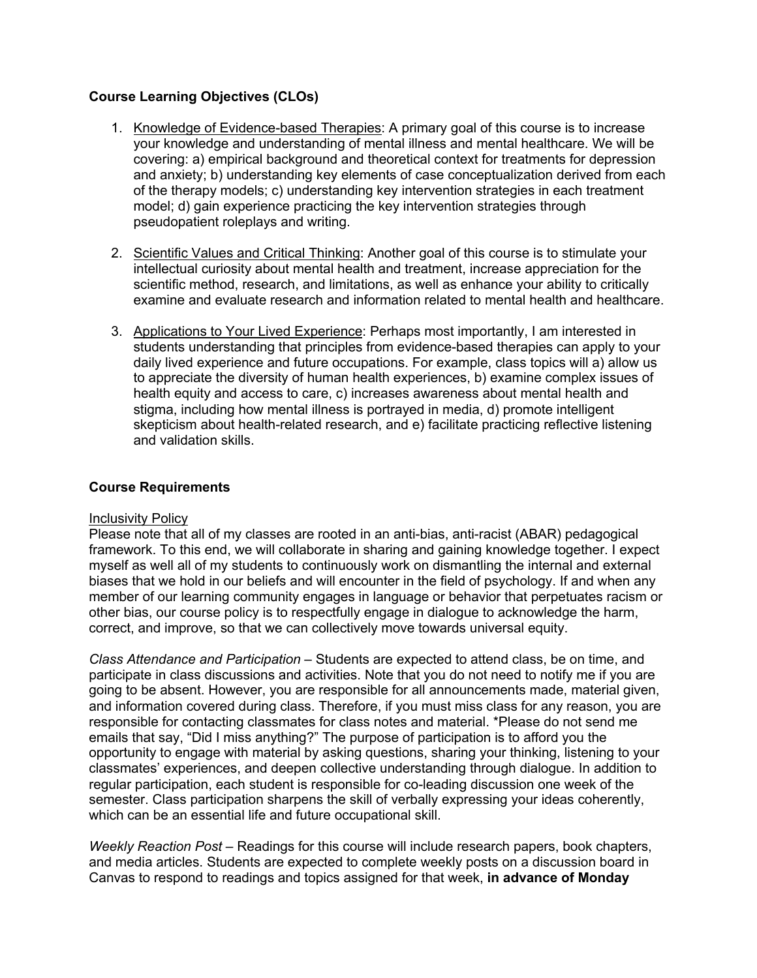## **Course Learning Objectives (CLOs)**

- 1. Knowledge of Evidence-based Therapies: A primary goal of this course is to increase your knowledge and understanding of mental illness and mental healthcare. We will be covering: a) empirical background and theoretical context for treatments for depression and anxiety; b) understanding key elements of case conceptualization derived from each of the therapy models; c) understanding key intervention strategies in each treatment model; d) gain experience practicing the key intervention strategies through pseudopatient roleplays and writing.
- 2. Scientific Values and Critical Thinking: Another goal of this course is to stimulate your intellectual curiosity about mental health and treatment, increase appreciation for the scientific method, research, and limitations, as well as enhance your ability to critically examine and evaluate research and information related to mental health and healthcare.
- 3. Applications to Your Lived Experience: Perhaps most importantly, I am interested in students understanding that principles from evidence-based therapies can apply to your daily lived experience and future occupations. For example, class topics will a) allow us to appreciate the diversity of human health experiences, b) examine complex issues of health equity and access to care, c) increases awareness about mental health and stigma, including how mental illness is portrayed in media, d) promote intelligent skepticism about health-related research, and e) facilitate practicing reflective listening and validation skills.

## **Course Requirements**

#### Inclusivity Policy

Please note that all of my classes are rooted in an anti-bias, anti-racist (ABAR) pedagogical framework. To this end, we will collaborate in sharing and gaining knowledge together. I expect myself as well all of my students to continuously work on dismantling the internal and external biases that we hold in our beliefs and will encounter in the field of psychology. If and when any member of our learning community engages in language or behavior that perpetuates racism or other bias, our course policy is to respectfully engage in dialogue to acknowledge the harm, correct, and improve, so that we can collectively move towards universal equity.

*Class Attendance and Participation* – Students are expected to attend class, be on time, and participate in class discussions and activities. Note that you do not need to notify me if you are going to be absent. However, you are responsible for all announcements made, material given, and information covered during class. Therefore, if you must miss class for any reason, you are responsible for contacting classmates for class notes and material. \*Please do not send me emails that say, "Did I miss anything?" The purpose of participation is to afford you the opportunity to engage with material by asking questions, sharing your thinking, listening to your classmates' experiences, and deepen collective understanding through dialogue. In addition to regular participation, each student is responsible for co-leading discussion one week of the semester. Class participation sharpens the skill of verbally expressing your ideas coherently, which can be an essential life and future occupational skill.

*Weekly Reaction Post* – Readings for this course will include research papers, book chapters, and media articles. Students are expected to complete weekly posts on a discussion board in Canvas to respond to readings and topics assigned for that week, **in advance of Monday**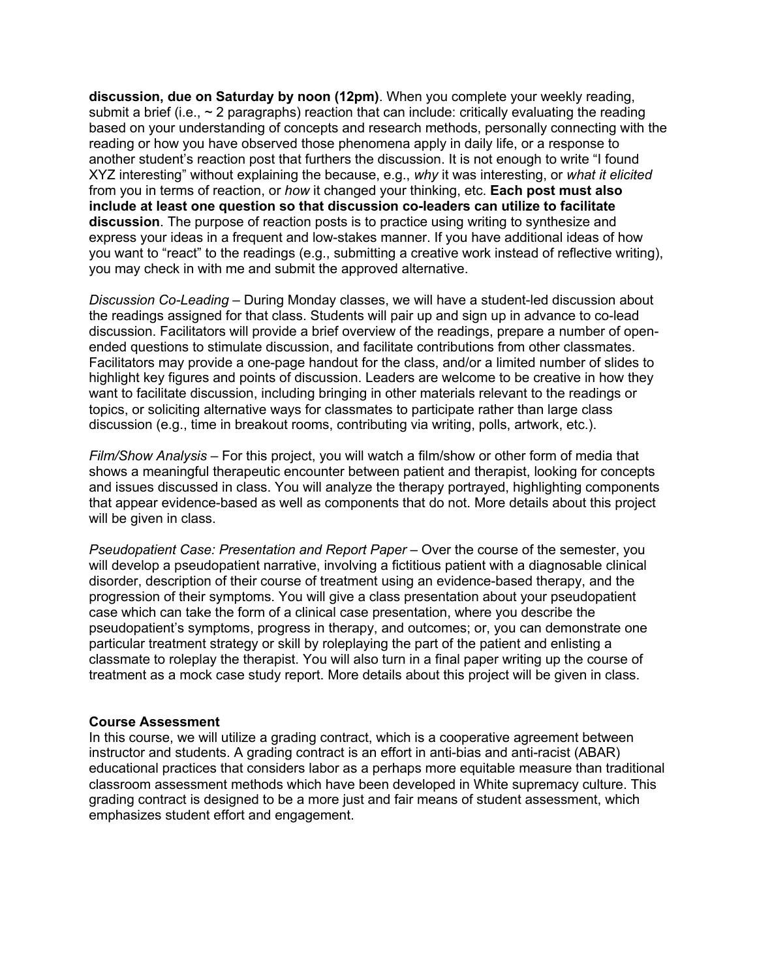**discussion, due on Saturday by noon (12pm)**. When you complete your weekly reading, submit a brief (i.e.,  $\sim$  2 paragraphs) reaction that can include: critically evaluating the reading based on your understanding of concepts and research methods, personally connecting with the reading or how you have observed those phenomena apply in daily life, or a response to another student's reaction post that furthers the discussion. It is not enough to write "I found XYZ interesting" without explaining the because, e.g., *why* it was interesting, or *what it elicited*  from you in terms of reaction, or *how* it changed your thinking, etc. **Each post must also include at least one question so that discussion co-leaders can utilize to facilitate discussion**. The purpose of reaction posts is to practice using writing to synthesize and express your ideas in a frequent and low-stakes manner. If you have additional ideas of how you want to "react" to the readings (e.g., submitting a creative work instead of reflective writing), you may check in with me and submit the approved alternative.

*Discussion Co-Leading* – During Monday classes, we will have a student-led discussion about the readings assigned for that class. Students will pair up and sign up in advance to co-lead discussion. Facilitators will provide a brief overview of the readings, prepare a number of openended questions to stimulate discussion, and facilitate contributions from other classmates. Facilitators may provide a one-page handout for the class, and/or a limited number of slides to highlight key figures and points of discussion. Leaders are welcome to be creative in how they want to facilitate discussion, including bringing in other materials relevant to the readings or topics, or soliciting alternative ways for classmates to participate rather than large class discussion (e.g., time in breakout rooms, contributing via writing, polls, artwork, etc.).

*Film/Show Analysis* – For this project, you will watch a film/show or other form of media that shows a meaningful therapeutic encounter between patient and therapist, looking for concepts and issues discussed in class. You will analyze the therapy portrayed, highlighting components that appear evidence-based as well as components that do not. More details about this project will be given in class.

*Pseudopatient Case: Presentation and Report Paper –* Over the course of the semester, you will develop a pseudopatient narrative, involving a fictitious patient with a diagnosable clinical disorder, description of their course of treatment using an evidence-based therapy, and the progression of their symptoms. You will give a class presentation about your pseudopatient case which can take the form of a clinical case presentation, where you describe the pseudopatient's symptoms, progress in therapy, and outcomes; or, you can demonstrate one particular treatment strategy or skill by roleplaying the part of the patient and enlisting a classmate to roleplay the therapist. You will also turn in a final paper writing up the course of treatment as a mock case study report. More details about this project will be given in class.

#### **Course Assessment**

In this course, we will utilize a grading contract, which is a cooperative agreement between instructor and students. A grading contract is an effort in anti-bias and anti-racist (ABAR) educational practices that considers labor as a perhaps more equitable measure than traditional classroom assessment methods which have been developed in White supremacy culture. This grading contract is designed to be a more just and fair means of student assessment, which emphasizes student effort and engagement.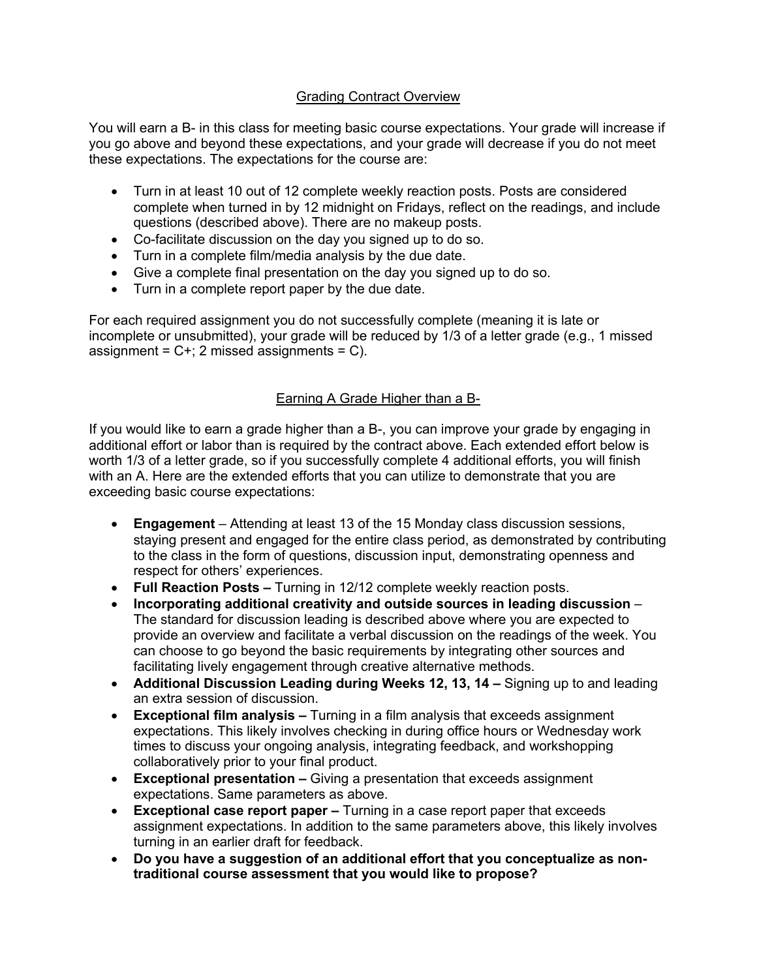## Grading Contract Overview

You will earn a B- in this class for meeting basic course expectations. Your grade will increase if you go above and beyond these expectations, and your grade will decrease if you do not meet these expectations. The expectations for the course are:

- Turn in at least 10 out of 12 complete weekly reaction posts. Posts are considered complete when turned in by 12 midnight on Fridays, reflect on the readings, and include questions (described above). There are no makeup posts.
- Co-facilitate discussion on the day you signed up to do so.
- Turn in a complete film/media analysis by the due date.
- Give a complete final presentation on the day you signed up to do so.
- Turn in a complete report paper by the due date.

For each required assignment you do not successfully complete (meaning it is late or incomplete or unsubmitted), your grade will be reduced by 1/3 of a letter grade (e.g., 1 missed assignment =  $C+$ ; 2 missed assignments =  $C$ ).

## Earning A Grade Higher than a B-

If you would like to earn a grade higher than a B-, you can improve your grade by engaging in additional effort or labor than is required by the contract above. Each extended effort below is worth 1/3 of a letter grade, so if you successfully complete 4 additional efforts, you will finish with an A. Here are the extended efforts that you can utilize to demonstrate that you are exceeding basic course expectations:

- **Engagement**  Attending at least 13 of the 15 Monday class discussion sessions, staying present and engaged for the entire class period, as demonstrated by contributing to the class in the form of questions, discussion input, demonstrating openness and respect for others' experiences.
- **Full Reaction Posts –** Turning in 12/12 complete weekly reaction posts.
- **Incorporating additional creativity and outside sources in leading discussion**  The standard for discussion leading is described above where you are expected to provide an overview and facilitate a verbal discussion on the readings of the week. You can choose to go beyond the basic requirements by integrating other sources and facilitating lively engagement through creative alternative methods.
- **Additional Discussion Leading during Weeks 12, 13, 14 –** Signing up to and leading an extra session of discussion.
- **Exceptional film analysis –** Turning in a film analysis that exceeds assignment expectations. This likely involves checking in during office hours or Wednesday work times to discuss your ongoing analysis, integrating feedback, and workshopping collaboratively prior to your final product.
- **Exceptional presentation –** Giving a presentation that exceeds assignment expectations. Same parameters as above.
- **Exceptional case report paper –** Turning in a case report paper that exceeds assignment expectations. In addition to the same parameters above, this likely involves turning in an earlier draft for feedback.
- **Do you have a suggestion of an additional effort that you conceptualize as nontraditional course assessment that you would like to propose?**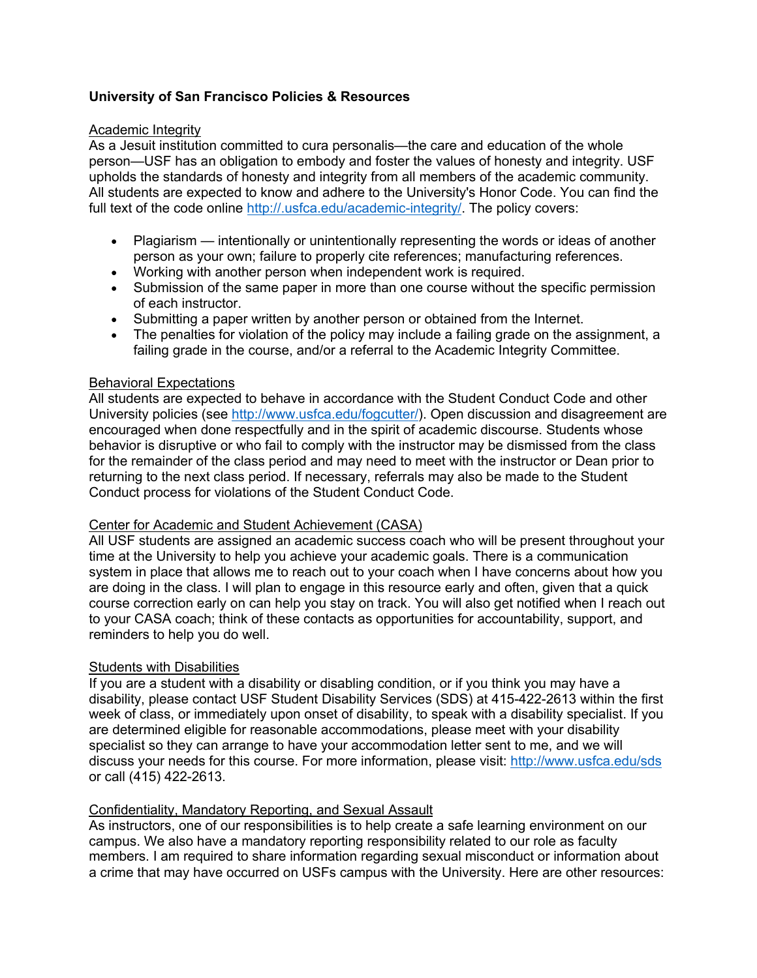## **University of San Francisco Policies & Resources**

#### Academic Integrity

As a Jesuit institution committed to cura personalis—the care and education of the whole person—USF has an obligation to embody and foster the values of honesty and integrity. USF upholds the standards of honesty and integrity from all members of the academic community. All students are expected to know and adhere to the University's Honor Code. You can find the full text of the code online http://.usfca.edu/academic-integrity/. The policy covers:

- Plagiarism intentionally or unintentionally representing the words or ideas of another person as your own; failure to properly cite references; manufacturing references.
- Working with another person when independent work is required.
- Submission of the same paper in more than one course without the specific permission of each instructor.
- Submitting a paper written by another person or obtained from the Internet.
- The penalties for violation of the policy may include a failing grade on the assignment, a failing grade in the course, and/or a referral to the Academic Integrity Committee.

## Behavioral Expectations

All students are expected to behave in accordance with the Student Conduct Code and other University policies (see http://www.usfca.edu/fogcutter/). Open discussion and disagreement are encouraged when done respectfully and in the spirit of academic discourse. Students whose behavior is disruptive or who fail to comply with the instructor may be dismissed from the class for the remainder of the class period and may need to meet with the instructor or Dean prior to returning to the next class period. If necessary, referrals may also be made to the Student Conduct process for violations of the Student Conduct Code.

#### Center for Academic and Student Achievement (CASA)

All USF students are assigned an academic success coach who will be present throughout your time at the University to help you achieve your academic goals. There is a communication system in place that allows me to reach out to your coach when I have concerns about how you are doing in the class. I will plan to engage in this resource early and often, given that a quick course correction early on can help you stay on track. You will also get notified when I reach out to your CASA coach; think of these contacts as opportunities for accountability, support, and reminders to help you do well.

## Students with Disabilities

If you are a student with a disability or disabling condition, or if you think you may have a disability, please contact USF Student Disability Services (SDS) at 415-422-2613 within the first week of class, or immediately upon onset of disability, to speak with a disability specialist. If you are determined eligible for reasonable accommodations, please meet with your disability specialist so they can arrange to have your accommodation letter sent to me, and we will discuss your needs for this course. For more information, please visit: http://www.usfca.edu/sds or call (415) 422-2613.

#### Confidentiality, Mandatory Reporting, and Sexual Assault

As instructors, one of our responsibilities is to help create a safe learning environment on our campus. We also have a mandatory reporting responsibility related to our role as faculty members. I am required to share information regarding sexual misconduct or information about a crime that may have occurred on USFs campus with the University. Here are other resources: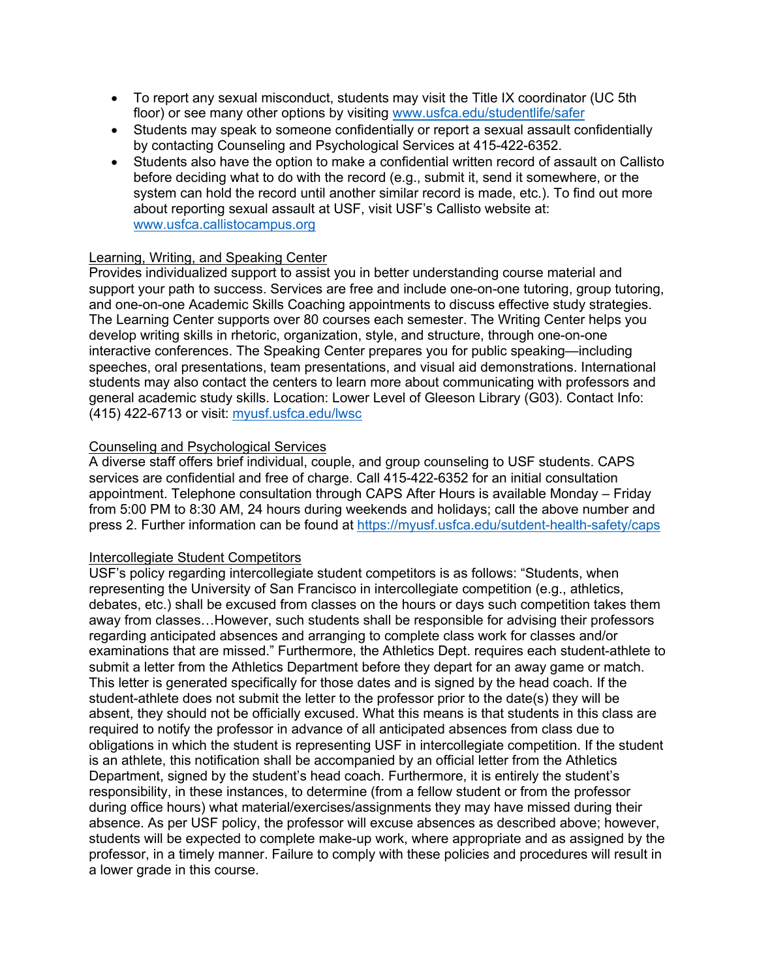- To report any sexual misconduct, students may visit the Title IX coordinator (UC 5th floor) or see many other options by visiting www.usfca.edu/studentlife/safer
- Students may speak to someone confidentially or report a sexual assault confidentially by contacting Counseling and Psychological Services at 415-422-6352.
- Students also have the option to make a confidential written record of assault on Callisto before deciding what to do with the record (e.g., submit it, send it somewhere, or the system can hold the record until another similar record is made, etc.). To find out more about reporting sexual assault at USF, visit USF's Callisto website at: www.usfca.callistocampus.org

## Learning, Writing, and Speaking Center

Provides individualized support to assist you in better understanding course material and support your path to success. Services are free and include one-on-one tutoring, group tutoring, and one-on-one Academic Skills Coaching appointments to discuss effective study strategies. The Learning Center supports over 80 courses each semester. The Writing Center helps you develop writing skills in rhetoric, organization, style, and structure, through one-on-one interactive conferences. The Speaking Center prepares you for public speaking—including speeches, oral presentations, team presentations, and visual aid demonstrations. International students may also contact the centers to learn more about communicating with professors and general academic study skills. Location: Lower Level of Gleeson Library (G03). Contact Info: (415) 422-6713 or visit: myusf.usfca.edu/lwsc

## Counseling and Psychological Services

A diverse staff offers brief individual, couple, and group counseling to USF students. CAPS services are confidential and free of charge. Call 415-422-6352 for an initial consultation appointment. Telephone consultation through CAPS After Hours is available Monday – Friday from 5:00 PM to 8:30 AM, 24 hours during weekends and holidays; call the above number and press 2. Further information can be found at https://myusf.usfca.edu/sutdent-health-safety/caps

#### Intercollegiate Student Competitors

USF's policy regarding intercollegiate student competitors is as follows: "Students, when representing the University of San Francisco in intercollegiate competition (e.g., athletics, debates, etc.) shall be excused from classes on the hours or days such competition takes them away from classes…However, such students shall be responsible for advising their professors regarding anticipated absences and arranging to complete class work for classes and/or examinations that are missed." Furthermore, the Athletics Dept. requires each student-athlete to submit a letter from the Athletics Department before they depart for an away game or match. This letter is generated specifically for those dates and is signed by the head coach. If the student-athlete does not submit the letter to the professor prior to the date(s) they will be absent, they should not be officially excused. What this means is that students in this class are required to notify the professor in advance of all anticipated absences from class due to obligations in which the student is representing USF in intercollegiate competition. If the student is an athlete, this notification shall be accompanied by an official letter from the Athletics Department, signed by the student's head coach. Furthermore, it is entirely the student's responsibility, in these instances, to determine (from a fellow student or from the professor during office hours) what material/exercises/assignments they may have missed during their absence. As per USF policy, the professor will excuse absences as described above; however, students will be expected to complete make-up work, where appropriate and as assigned by the professor, in a timely manner. Failure to comply with these policies and procedures will result in a lower grade in this course.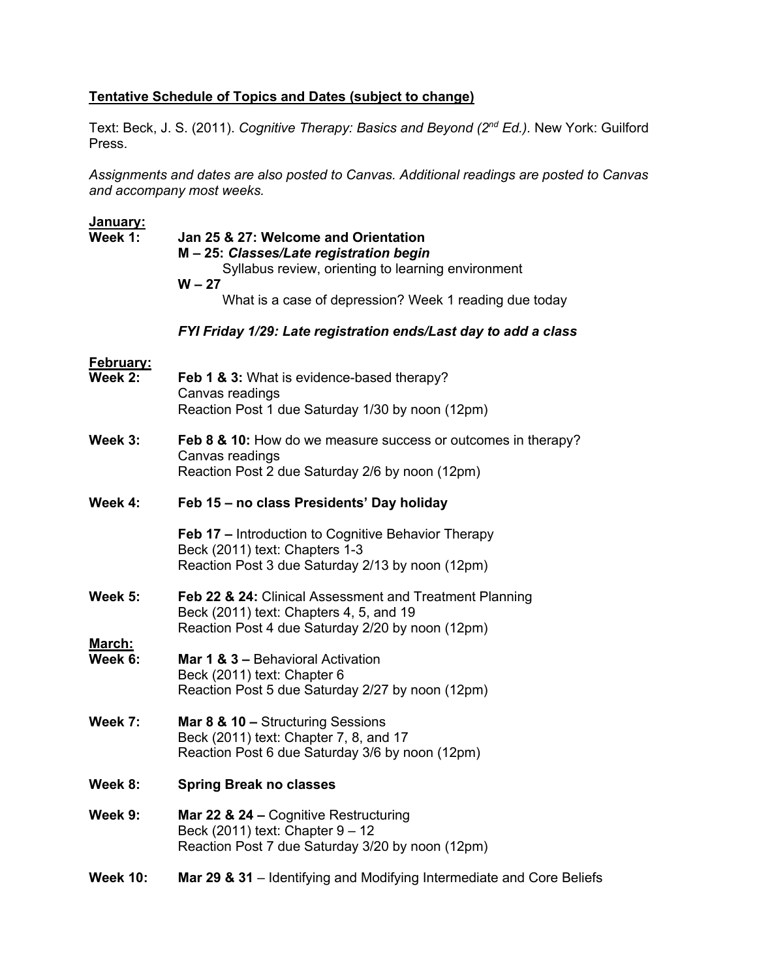# **Tentative Schedule of Topics and Dates (subject to change)**

Text: Beck, J. S. (2011). *Cognitive Therapy: Basics and Beyond (2nd Ed.).* New York: Guilford Press.

*Assignments and dates are also posted to Canvas. Additional readings are posted to Canvas and accompany most weeks.*

| <u>January:</u><br>Week 1:  | Jan 25 & 27: Welcome and Orientation<br>M-25: Classes/Late registration begin<br>Syllabus review, orienting to learning environment<br>$W - 27$<br>What is a case of depression? Week 1 reading due today |  |
|-----------------------------|-----------------------------------------------------------------------------------------------------------------------------------------------------------------------------------------------------------|--|
|                             | FYI Friday 1/29: Late registration ends/Last day to add a class                                                                                                                                           |  |
| <b>February:</b><br>Week 2: | <b>Feb 1 &amp; 3:</b> What is evidence-based therapy?<br>Canvas readings<br>Reaction Post 1 due Saturday 1/30 by noon (12pm)                                                                              |  |
| Week 3:                     | <b>Feb 8 &amp; 10:</b> How do we measure success or outcomes in therapy?<br>Canvas readings<br>Reaction Post 2 due Saturday 2/6 by noon (12pm)                                                            |  |
| Week 4:                     | Feb 15 - no class Presidents' Day holiday                                                                                                                                                                 |  |
|                             | <b>Feb 17</b> – Introduction to Cognitive Behavior Therapy<br>Beck (2011) text: Chapters 1-3<br>Reaction Post 3 due Saturday 2/13 by noon (12pm)                                                          |  |
| Week $5:$                   | Feb 22 & 24: Clinical Assessment and Treatment Planning<br>Beck (2011) text: Chapters 4, 5, and 19<br>Reaction Post 4 due Saturday 2/20 by noon (12pm)                                                    |  |
| March:<br>Week 6:           | Mar 1 & 3 - Behavioral Activation<br>Beck (2011) text: Chapter 6<br>Reaction Post 5 due Saturday 2/27 by noon (12pm)                                                                                      |  |
| Week 7:                     | Mar 8 & 10 - Structuring Sessions<br>Beck (2011) text: Chapter 7, 8, and 17<br>Reaction Post 6 due Saturday 3/6 by noon (12pm)                                                                            |  |
| Week 8:                     | <b>Spring Break no classes</b>                                                                                                                                                                            |  |
| Week 9:                     | Mar 22 & 24 – Cognitive Restructuring<br>Beck (2011) text: Chapter 9 - 12<br>Reaction Post 7 due Saturday 3/20 by noon (12pm)                                                                             |  |
| <b>Week 10:</b>             | Mar 29 & 31 – Identifying and Modifying Intermediate and Core Beliefs                                                                                                                                     |  |